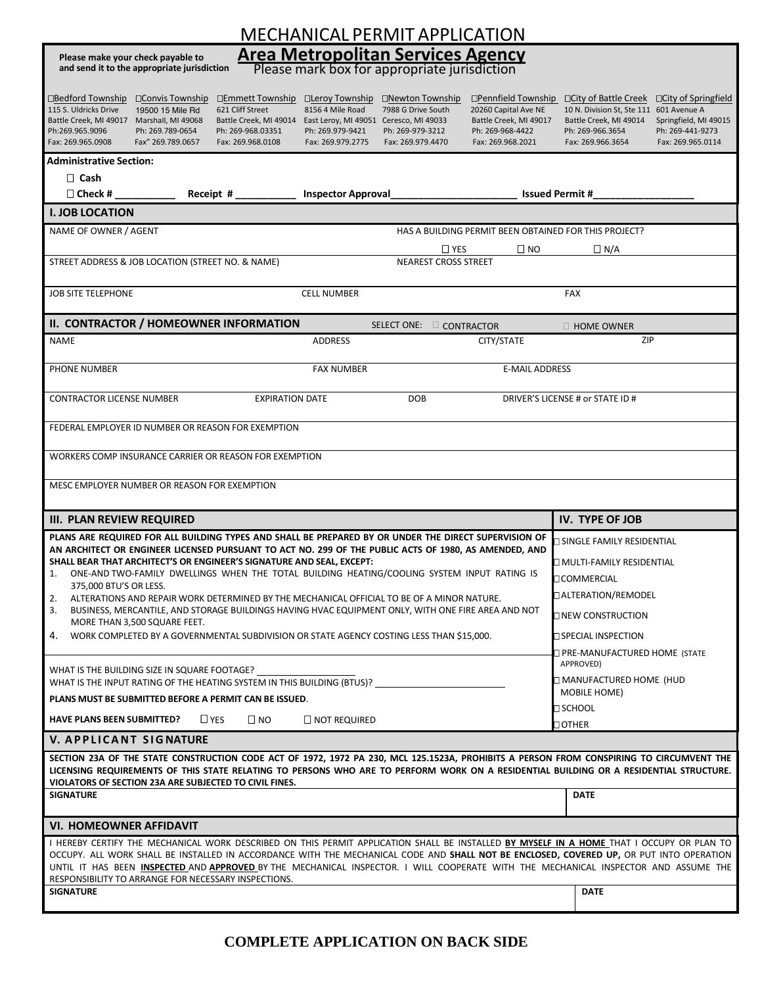| <b>MECHANICAL PERMIT APPLICATION</b>                                                                                                                                                                                                                                                                                                                                                                                                                                                                                                                                                                                                                                                                                                                                     |                                                                                                                                                                                                                                                     |  |  |  |  |  |  |  |  |
|--------------------------------------------------------------------------------------------------------------------------------------------------------------------------------------------------------------------------------------------------------------------------------------------------------------------------------------------------------------------------------------------------------------------------------------------------------------------------------------------------------------------------------------------------------------------------------------------------------------------------------------------------------------------------------------------------------------------------------------------------------------------------|-----------------------------------------------------------------------------------------------------------------------------------------------------------------------------------------------------------------------------------------------------|--|--|--|--|--|--|--|--|
| <b>Area Metropolitan Services Agency</b><br>Please make your check payable to<br>and send it to the appropriate jurisdiction<br>Please mark box for appropriate jurisdiction                                                                                                                                                                                                                                                                                                                                                                                                                                                                                                                                                                                             |                                                                                                                                                                                                                                                     |  |  |  |  |  |  |  |  |
| □Bedford Township<br>□ Convis Township<br>□Emmett Township<br>□ Leroy Township<br>□Newton Township<br>115 S. Uldricks Drive<br>621 Cliff Street<br>8156 4 Mile Road<br>7988 G Drive South<br>20260 Capital Ave NE<br>19500 15 Mile Rd<br>Battle Creek, MI 49017 Marshall, MI 49068<br>Battle Creek, MI 49017<br>Battle Creek, MI 49014 East Leroy, MI 49051 Ceresco, MI 49033<br>Ph:269.965.9096<br>Ph: 269.789-0654<br>Ph: 269-968-4422<br>Ph: 269-968.03351<br>Ph: 269.979-9421<br>Ph: 269-979-3212<br>Fax: 269.965.0908<br>Fax" 269.789.0657<br>Fax: 269.968.0108<br>Fax: 269.979.2775<br>Fax: 269.979.4470<br>Fax: 269.968.2021                                                                                                                                      | □Pennfield Township □ City of Battle Creek<br>□ City of Springfield<br>10 N. Division St, Ste 111 601 Avenue A<br>Battle Creek, MI 49014<br>Springfield, MI 49015<br>Ph: 269-966.3654<br>Ph: 269-441-9273<br>Fax: 269.966.3654<br>Fax: 269.965.0114 |  |  |  |  |  |  |  |  |
| <b>Administrative Section:</b>                                                                                                                                                                                                                                                                                                                                                                                                                                                                                                                                                                                                                                                                                                                                           |                                                                                                                                                                                                                                                     |  |  |  |  |  |  |  |  |
| $\Box$ Cash                                                                                                                                                                                                                                                                                                                                                                                                                                                                                                                                                                                                                                                                                                                                                              |                                                                                                                                                                                                                                                     |  |  |  |  |  |  |  |  |
| $\Box$ Check #<br><b>Inspector Approval</b><br><b>Issued Permit #</b><br><b>I. JOB LOCATION</b>                                                                                                                                                                                                                                                                                                                                                                                                                                                                                                                                                                                                                                                                          |                                                                                                                                                                                                                                                     |  |  |  |  |  |  |  |  |
| NAME OF OWNER / AGENT<br>HAS A BUILDING PERMIT BEEN OBTAINED FOR THIS PROJECT?                                                                                                                                                                                                                                                                                                                                                                                                                                                                                                                                                                                                                                                                                           |                                                                                                                                                                                                                                                     |  |  |  |  |  |  |  |  |
| $\Box$ YES                                                                                                                                                                                                                                                                                                                                                                                                                                                                                                                                                                                                                                                                                                                                                               | $\square$ NO<br>$\Box$ N/A                                                                                                                                                                                                                          |  |  |  |  |  |  |  |  |
| STREET ADDRESS & JOB LOCATION (STREET NO. & NAME)<br><b>NEAREST CROSS STREET</b>                                                                                                                                                                                                                                                                                                                                                                                                                                                                                                                                                                                                                                                                                         |                                                                                                                                                                                                                                                     |  |  |  |  |  |  |  |  |
| <b>JOB SITE TELEPHONE</b><br><b>CELL NUMBER</b>                                                                                                                                                                                                                                                                                                                                                                                                                                                                                                                                                                                                                                                                                                                          | FAX                                                                                                                                                                                                                                                 |  |  |  |  |  |  |  |  |
| II. CONTRACTOR / HOMEOWNER INFORMATION<br>SELECT ONE: CONTRACTOR                                                                                                                                                                                                                                                                                                                                                                                                                                                                                                                                                                                                                                                                                                         | $\Box$ HOME OWNER                                                                                                                                                                                                                                   |  |  |  |  |  |  |  |  |
| <b>NAME</b><br>CITY/STATE<br><b>ADDRESS</b>                                                                                                                                                                                                                                                                                                                                                                                                                                                                                                                                                                                                                                                                                                                              | ZIP                                                                                                                                                                                                                                                 |  |  |  |  |  |  |  |  |
| PHONE NUMBER<br><b>FAX NUMBER</b>                                                                                                                                                                                                                                                                                                                                                                                                                                                                                                                                                                                                                                                                                                                                        | <b>E-MAIL ADDRESS</b>                                                                                                                                                                                                                               |  |  |  |  |  |  |  |  |
| <b>CONTRACTOR LICENSE NUMBER</b><br><b>EXPIRATION DATE</b><br><b>DOB</b>                                                                                                                                                                                                                                                                                                                                                                                                                                                                                                                                                                                                                                                                                                 | DRIVER'S LICENSE # or STATE ID #                                                                                                                                                                                                                    |  |  |  |  |  |  |  |  |
| FEDERAL EMPLOYER ID NUMBER OR REASON FOR EXEMPTION                                                                                                                                                                                                                                                                                                                                                                                                                                                                                                                                                                                                                                                                                                                       |                                                                                                                                                                                                                                                     |  |  |  |  |  |  |  |  |
| WORKERS COMP INSURANCE CARRIER OR REASON FOR EXEMPTION                                                                                                                                                                                                                                                                                                                                                                                                                                                                                                                                                                                                                                                                                                                   |                                                                                                                                                                                                                                                     |  |  |  |  |  |  |  |  |
|                                                                                                                                                                                                                                                                                                                                                                                                                                                                                                                                                                                                                                                                                                                                                                          |                                                                                                                                                                                                                                                     |  |  |  |  |  |  |  |  |
| MESC EMPLOYER NUMBER OR REASON FOR EXEMPTION                                                                                                                                                                                                                                                                                                                                                                                                                                                                                                                                                                                                                                                                                                                             |                                                                                                                                                                                                                                                     |  |  |  |  |  |  |  |  |
| <b>III. PLAN REVIEW REQUIRED</b>                                                                                                                                                                                                                                                                                                                                                                                                                                                                                                                                                                                                                                                                                                                                         | <b>IV. TYPE OF JOB</b>                                                                                                                                                                                                                              |  |  |  |  |  |  |  |  |
| PLANS ARE REQUIRED FOR ALL BUILDING TYPES AND SHALL BE PREPARED BY OR UNDER THE DIRECT SUPERVISION OF<br>AN ARCHITECT OR ENGINEER LICENSED PURSUANT TO ACT NO. 299 OF THE PUBLIC ACTS OF 1980, AS AMENDED, AND<br>SHALL BEAR THAT ARCHITECT'S OR ENGINEER'S SIGNATURE AND SEAL, EXCEPT:<br>ONE-AND TWO-FAMILY DWELLINGS WHEN THE TOTAL BUILDING HEATING/COOLING SYSTEM INPUT RATING IS<br>1.<br>375,000 BTU'S OR LESS.<br>2.<br>ALTERATIONS AND REPAIR WORK DETERMINED BY THE MECHANICAL OFFICIAL TO BE OF A MINOR NATURE.<br>3.<br>BUSINESS, MERCANTILE, AND STORAGE BUILDINGS HAVING HVAC EQUIPMENT ONLY, WITH ONE FIRE AREA AND NOT<br>MORE THAN 3,500 SQUARE FEET.<br>WORK COMPLETED BY A GOVERNMENTAL SUBDIVISION OR STATE AGENCY COSTING LESS THAN \$15,000.<br>4. | □ SINGLE FAMILY RESIDENTIAL<br>□ MULTI-FAMILY RESIDENTIAL<br><b>OCOMMERCIAL</b><br>□ ALTERATION/REMODEL<br>□ NEW CONSTRUCTION<br>□ SPECIAL INSPECTION<br>□ PRE-MANUFACTURED HOME (STATE                                                             |  |  |  |  |  |  |  |  |
| WHAT IS THE BUILDING SIZE IN SQUARE FOOTAGE?<br>WHAT IS THE INPUT RATING OF THE HEATING SYSTEM IN THIS BUILDING (BTUS)?                                                                                                                                                                                                                                                                                                                                                                                                                                                                                                                                                                                                                                                  | APPROVED)<br><b>NANUFACTURED HOME (HUD</b><br>MOBILE HOME)                                                                                                                                                                                          |  |  |  |  |  |  |  |  |
| PLANS MUST BE SUBMITTED BEFORE A PERMIT CAN BE ISSUED.                                                                                                                                                                                                                                                                                                                                                                                                                                                                                                                                                                                                                                                                                                                   | □ SCHOOL                                                                                                                                                                                                                                            |  |  |  |  |  |  |  |  |
| <b>HAVE PLANS BEEN SUBMITTED?</b><br>$L$ YES<br>$\square$ NO<br>$\Box$ NOT REQUIRED                                                                                                                                                                                                                                                                                                                                                                                                                                                                                                                                                                                                                                                                                      | <b>OTHER</b>                                                                                                                                                                                                                                        |  |  |  |  |  |  |  |  |
| <b>V. APPLICANT SIGNATURE</b>                                                                                                                                                                                                                                                                                                                                                                                                                                                                                                                                                                                                                                                                                                                                            |                                                                                                                                                                                                                                                     |  |  |  |  |  |  |  |  |
| SECTION 23A OF THE STATE CONSTRUCTION CODE ACT OF 1972, 1972 PA 230, MCL 125.1523A, PROHIBITS A PERSON FROM CONSPIRING TO CIRCUMVENT THE<br>LICENSING REQUIREMENTS OF THIS STATE RELATING TO PERSONS WHO ARE TO PERFORM WORK ON A RESIDENTIAL BUILDING OR A RESIDENTIAL STRUCTURE.<br>VIOLATORS OF SECTION 23A ARE SUBJECTED TO CIVIL FINES.                                                                                                                                                                                                                                                                                                                                                                                                                             |                                                                                                                                                                                                                                                     |  |  |  |  |  |  |  |  |
| <b>SIGNATURE</b>                                                                                                                                                                                                                                                                                                                                                                                                                                                                                                                                                                                                                                                                                                                                                         | <b>DATE</b>                                                                                                                                                                                                                                         |  |  |  |  |  |  |  |  |
| <b>VI. HOMEOWNER AFFIDAVIT</b>                                                                                                                                                                                                                                                                                                                                                                                                                                                                                                                                                                                                                                                                                                                                           |                                                                                                                                                                                                                                                     |  |  |  |  |  |  |  |  |
| I HEREBY CERTIFY THE MECHANICAL WORK DESCRIBED ON THIS PERMIT APPLICATION SHALL BE INSTALLED BY MYSELF IN A HOME THAT I OCCUPY OR PLAN TO<br>OCCUPY. ALL WORK SHALL BE INSTALLED IN ACCORDANCE WITH THE MECHANICAL CODE AND SHALL NOT BE ENCLOSED, COVERED UP, OR PUT INTO OPERATION<br>UNTIL IT HAS BEEN INSPECTED AND APPROVED BY THE MECHANICAL INSPECTOR. I WILL COOPERATE WITH THE MECHANICAL INSPECTOR AND ASSUME THE<br>RESPONSIBILITY TO ARRANGE FOR NECESSARY INSPECTIONS.<br><b>SIGNATURE</b><br><b>DATE</b>                                                                                                                                                                                                                                                   |                                                                                                                                                                                                                                                     |  |  |  |  |  |  |  |  |

## **COMPLETE APPLICATION ON BACK SIDE**